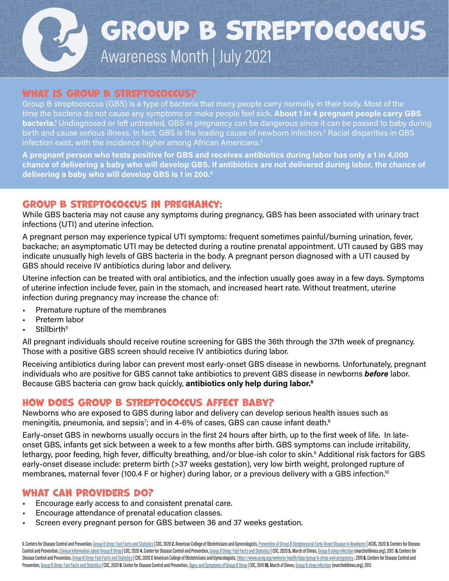# Awareness Month | July 2021 Group B Streptococcus

#### WHAT IS GROUP B STREPTOCOCCUS?

Group B streptococcus (GBS) is a type of bacteria that many people carry normally in their body. Most of the time the bacteria do not cause any symptoms or make people feel sick. About 1 in 4 pregnant people carry GBS **bacteria.**<sup>1</sup> Undiagnosed or left untreated, GBS in pregnancy can be dangerous since it can be passed to baby during birth and cause serious illness. In fact, GBS is the leading cause of newborn infection.<sup>2</sup> Racial disparities in GBS infection exist, with the incidence higher among African Americans.<sup>3</sup>

A pregnant person who tests positive for GBS and receives antibiotics during labor has only a 1 in 4,000 chance of delivering a baby who will develop GBS. If antibiotics are not delivered during labor, the chance of delivering a baby who will develop GBS is 1 in 200.4

#### Group B streptococcus in pregnancy:

While GBS bacteria may not cause any symptoms during pregnancy, GBS has been associated with urinary tract infections (UTI) and uterine infection.

A pregnant person may experience typical UTI symptoms: frequent sometimes painful/burning urination, fever, backache; an asymptomatic UTI may be detected during a routine prenatal appointment. UTI caused by GBS may indicate unusually high levels of GBS bacteria in the body. A pregnant person diagnosed with a UTI caused by GBS should receive IV antibiotics during labor and delivery.

Uterine infection can be treated with oral antibiotics, and the infection usually goes away in a few days. Symptoms of uterine infection include fever, pain in the stomach, and increased heart rate. Without treatment, uterine infection during pregnancy may increase the chance of:

- Premature rupture of the membranes
- Preterm labor
- Stillbirth<sup>5</sup>

All pregnant individuals should receive routine screening for GBS the 36th through the 37th week of pregnancy. Those with a positive GBS screen should receive IV antibiotics during labor.

Receiving antibiotics during labor can prevent most early-onset GBS disease in newborns. Unfortunately, pregnant individuals who are positive for GBS cannot take antibiotics to prevent GBS disease in newborns before labor. Because GBS bacteria can grow back quickly, antibiotics only help during labor.<sup>6</sup>

#### How does Group B streptococcus affect baby?

Newborns who are exposed to GBS during labor and delivery can develop serious health issues such as meningitis, pneumonia, and sepsis<sup>7</sup>; and in 4-6% of cases, GBS can cause infant death.<sup>8</sup>

Early-onset GBS in newborns usually occurs in the first 24 hours after birth, up to the first week of life. In lateonset GBS, infants get sick between a week to a few months after birth. GBS symptoms can include irritability, lethargy, poor feeding, high fever, difficulty breathing, and/or blue-ish color to skin.º Additional risk factors for GBS early-onset disease include: preterm birth (>37 weeks gestation), very low birth weight, prolonged rupture of membranes, maternal fever (100.4 F or higher) during labor, or a previous delivery with a GBS infection.<sup>10</sup>

#### What Can Providers Do?

- Encourage early access to and consistent prenatal care.
- Encourage attendance of prenatal education classes.
- Screen every pregnant person for GBS between 36 and 37 weeks gestation.

1. Centers for Disease Control and Prevention, [Group B Strep: Fast Facts and Statistics](https://www.cdc.gov/groupbstrep/about/fast-facts.html) | CDC, 2020 2. American College of Obstetricians and Gynecologists, Prevention of Group B Streptococcal Early-Onset Disease in Newborn Control and Prevention, [Clinical Information about Group B Strep](https://www.cdc.gov/groupbstrep/clinicians/index.html) | CDC; 2020 4. Center for Disease Control and Prevention, [Group B Strep: Fast Facts and Statistics](https://www.cdc.gov/groupbstrep/about/fast-facts.html) | CDC, 2020 5. March of Dimes, [Group B strep infection](https://www.marchofdimes.org/complications/group-b-strep-infection.aspx) (ma Disease Control and Prevention, [Group B Strep: Fast Facts and Statistics](https://www.cdc.gov/groupbstrep/about/fast-facts.html) | CDC, 2020 7. American College of Obstetricians and Gynecologists, https://www.acog.org/womens-health/fags/group-b-strep-and-pregnancy; 2019 8. Cent Prevention, [Group B Strep: Fast Facts and Statistics](https://www.cdc.gov/groupbstrep/about/fast-facts.html) | CDC, 2020 9. Center for Disease Control and Prevention, [Signs and Symptoms of Group B Strep](https://www.cdc.gov/groupbstrep/about/symptoms.html) | CDC, 2019 10. March of Dimes, [Group B strep infection](https://www.marchofdimes.org/complications/group-b-strep-infection.aspx) (marchofdimes.org),